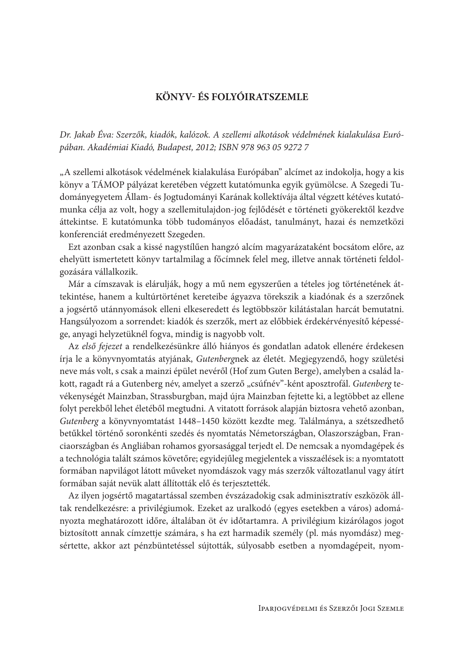## KÖNYV-ÉS FOLYÓIRATSZEMLE

Dr. Jakab Éva: Szerzők, kiadók, kalózok. A szellemi alkotások védelmének kialakulása Európában. Akadémiai Kiadó, Budapest, 2012; ISBN 978 963 05 9272 7

"A szellemi alkotások védelmének kialakulása Európában" alcímet az indokolja, hogy a kis könyv a TÁMOP pályázat keretében végzett kutatómunka egyik gyümölcse. A Szegedi Tudományegyetem Állam- és Jogtudományi Karának kollektívája által végzett kétéves kutatómunka célja az volt, hogy a szellemitulajdon-jog fejlődését e történeti gyökerektől kezdve áttekintse. E kutatómunka több tudományos előadást, tanulmányt, hazai és nemzetközi konferenciát eredményezett Szegeden.

Ezt azonban csak a kissé nagystílűen hangzó alcím magyarázataként bocsátom előre, az ehelyütt ismertetett könyv tartalmilag a főcímnek felel meg, illetve annak történeti feldolgozására vállalkozik.

Már a címszavak is elárulják, hogy a mű nem egyszerűen a tételes jog történetének áttekintése, hanem a kultúrtörténet kereteibe ágyazva törekszik a kiadónak és a szerzőnek a jogsértő utánnyomások elleni elkeseredett és legtöbbször kilátástalan harcát bemutatni. Hangsúlyozom a sorrendet: kiadók és szerzők, mert az előbbiek érdekérvényesítő képessége, anyagi helyzetüknél fogva, mindig is nagyobb volt.

Az első fejezet a rendelkezésünkre álló hiányos és gondatlan adatok ellenére érdekesen írja le a könyvnyomtatás atyjának, Gutenbergnek az életét. Megjegyzendő, hogy születési neve más volt, s csak a mainzi épület nevéről (Hof zum Guten Berge), amelyben a család lakott, ragadt rá a Gutenberg név, amelyet a szerző "csúfnév"-ként aposztrofál. Gutenberg tevékenységét Mainzban, Strassburgban, majd újra Mainzban fejtette ki, a legtöbbet az ellene folyt perekből lehet életéből megtudni. A vitatott források alapján biztosra vehető azonban, Gutenberg a könyvnyomtatást 1448–1450 között kezdte meg. Találmánya, a szétszedhető betűkkel történő soronkénti szedés és nyomtatás Németországban, Olaszországban, Franciaországban és Angliában rohamos gyorsasággal terjedt el. De nemcsak a nyomdagépek és a technológia talált számos követőre; egyidejűleg megjelentek a visszaélések is: a nyomtatott formában napvilágot látott műveket nyomdászok vagy más szerzők változatlanul vagy átírt formában saját nevük alatt állították elő és terjesztették.

Az ilyen jogsértő magatartással szemben évszázadokig csak adminisztratív eszközök álltak rendelkezésre: a privilégiumok. Ezeket az uralkodó (egyes esetekben a város) adományozta meghatározott időre, általában öt év időtartamra. A privilégium kizárólagos jogot biztosított annak címzettje számára, s ha ezt harmadik személy (pl. más nyomdász) megsértette, akkor azt pénzbüntetéssel sújtották, súlyosabb esetben a nyomdagépeit, nyom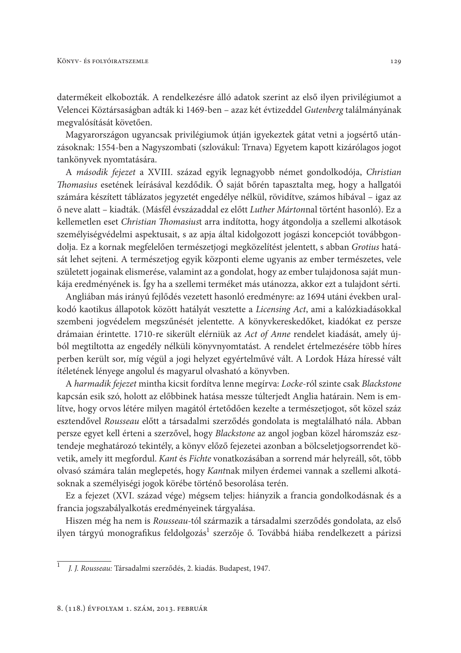datermékeit elkobozták. A rendelkezésre álló adatok szerint az első ilyen privilégiumot a Velencei Köztársaságban adták ki 1469-ben - azaz két évtizeddel Gutenberg találmányának megvalósítását követően.

Magyarországon ugyancsak privilégiumok útján igyekeztek gátat vetni a jogsértő utánzásoknak: 1554-ben a Nagyszombati (szlovákul: Trnava) Egyetem kapott kizárólagos jogot tankönyvek nyomtatására.

A második fejezet a XVIII. század egyik legnagyobb német gondolkodója, Christian *Thomasius* esetének leírásával kezdődik. Ő saját bőrén tapasztalta meg, hogy a hallgatói számára készített táblázatos jegyzetét engedélye nélkül, rövidítve, számos hibával - igaz az ő neve alatt - kiadták. (Másfél évszázaddal ez előtt Luther Mártonnal történt hasonló). Ez a kellemetlen eset Christian Thomasiust arra indította, hogy átgondolja a szellemi alkotások személyiségvédelmi aspektusait, s az apja által kidolgozott jogászi koncepciót továbbgondolja. Ez a kornak megfelelően természetjogi megközelítést jelentett, s abban Grotius hatását lehet sejteni. A természetjog egyik központi eleme ugyanis az ember természetes, vele született jogainak elismerése, valamint az a gondolat, hogy az ember tulajdonosa saját munkája eredményének is. Így ha a szellemi terméket más utánozza, akkor ezt a tulajdont sérti.

Angliában más irányú fejlődés vezetett hasonló eredményre: az 1694 utáni években uralkodó kaotikus állapotok között hatályát vesztette a Licensing Act, ami a kalózkiadásokkal szembeni jogvédelem megszűnését jelentette. A könyvkereskedőket, kiadókat ez persze drámaian érintette. 1710-re sikerült elérniük az Act of Anne rendelet kiadását, amely újból megtiltotta az engedély nélküli könyvnyomtatást. A rendelet értelmezésére több híres perben került sor, míg végül a jogi helyzet egyértelművé vált. A Lordok Háza híressé vált ítéletének lényege angolul és magyarul olvasható a könyvben.

A harmadik fejezet mintha kicsit fordítva lenne megírva: Locke-ról szinte csak Blackstone kapcsán esik szó, holott az előbbinek hatása messze túlterjedt Anglia határain. Nem is említve, hogy orvos létére milyen magától értetődően kezelte a természetjogot, sőt közel száz esztendővel Rousseau előtt a társadalmi szerződés gondolata is megtalálható nála. Abban persze egyet kell érteni a szerzővel, hogy Blackstone az angol jogban közel háromszáz esztendeje meghatározó tekintély, a könyv előző fejezetei azonban a bölcseletjogsorrendet követik, amely itt megfordul. Kant és Fichte vonatkozásában a sorrend már helyreáll, sőt, több olvasó számára talán meglepetés, hogy Kantnak milyen érdemei vannak a szellemi alkotásoknak a személyiségi jogok körébe történő besorolása terén.

Ez a fejezet (XVI. század vége) mégsem teljes: hiányzik a francia gondolkodásnak és a francia jogszabályalkotás eredményeinek tárgyalása.

Hiszen még ha nem is Rousseau-tól származik a társadalmi szerződés gondolata, az első ilyen tárgyú monografikus feldolgozás<sup>1</sup> szerzője ő. Továbbá hiába rendelkezett a párizsi

J. J. Rousseau: Társadalmi szerződés, 2. kiadás. Budapest, 1947.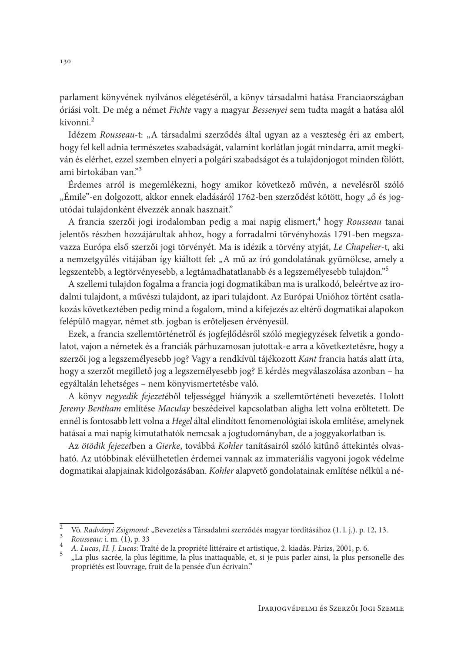parlament könyvének nyilvános elégetéséről, a könyv társadalmi hatása Franciaországban óriási volt. De még a német Fichte vagy a magyar Bessenyei sem tudta magát a hatása alól kivonni.<sup>2</sup>

Idézem Rousseau-t: "A társadalmi szerződés által ugyan az a veszteség éri az embert, hogy fel kell adnia természetes szabadságát, valamint korlátlan jogát mindarra, amit megkíván és elérhet, ezzel szemben elnyeri a polgári szabadságot és a tulajdonjogot minden fölött, ami birtokában van."<sup>3</sup>

Érdemes arról is megemlékezni, hogy amikor következő művén, a nevelésről szóló "Émile"-en dolgozott, akkor ennek eladásáról 1762-ben szerződést kötött, hogy "ő és jogutódai tulajdonként élvezzék annak hasznait."

A francia szerzői jogi irodalomban pedig a mai napig elismert,<sup>4</sup> hogy Rousseau tanai jelentős részben hozzájárultak ahhoz, hogy a forradalmi törvényhozás 1791-ben megszavazza Európa első szerzői jogi törvényét. Ma is idézik a törvény atyját, Le Chapelier-t, aki a nemzetgyűlés vitájában így kiáltott fel: "A mű az író gondolatának gyümölcse, amely a legszentebb, a legtörvényesebb, a legtámadhatatlanabb és a legszemélyesebb tulajdon."<sup>5</sup>

A szellemi tulajdon fogalma a francia jogi dogmatikában ma is uralkodó, beleértve az irodalmi tulajdont, a művészi tulajdont, az ipari tulajdont. Az Európai Unióhoz történt csatlakozás következtében pedig mind a fogalom, mind a kifejezés az eltérő dogmatikai alapokon felépülő magyar, német stb. jogban is erőteljesen érvényesül.

Ezek, a francia szellemtörténetről és jogfejlődésről szóló megjegyzések felvetik a gondolatot, vajon a németek és a franciák párhuzamosan jutottak-e arra a következtetésre, hogy a szerzői jog a legszemélyesebb jog? Vagy a rendkívül tájékozott Kant francia hatás alatt írta, hogy a szerzőt megillető jog a legszemélyesebb jog? E kérdés megválaszolása azonban – ha egyáltalán lehetséges - nem könyvismertetésbe való.

A könyv negyedik fejezetéből teljességgel hiányzik a szellemtörténeti bevezetés. Holott Jeremy Bentham említése Maculay beszédeivel kapcsolatban aligha lett volna erőltetett. De ennél is fontosabb lett volna a Hegel által elindított fenomenológiai iskola említése, amelynek hatásai a mai napig kimutathatók nemcsak a jogtudományban, de a joggyakorlatban is.

Az ötödik fejezetben a Gierke, továbbá Kohler tanításairól szóló kitűnő áttekintés olvasható. Az utóbbinak elévülhetetlen érdemei vannak az immateriális vagyoni jogok védelme dogmatikai alapjainak kidolgozásában. Kohler alapvető gondolatainak említése nélkül a né-

 $\overline{2}$ Vö. Radványi Zsigmond: "Bevezetés a Társadalmi szerződés magyar fordításához (1. l. j.). p. 12, 13.

 $\begin{array}{c} 3 \\ 4 \end{array}$ Rousseau: i. m. (1), p. 33

A. Lucas, H. J. Lucas: Traîté de la propriété littéraire et artistique, 2. kiadás. Párizs, 2001, p. 6.  $5<sup>5</sup>$ 

<sup>&</sup>quot;La plus sacrée, la plus légitime, la plus inattaquable, et, si je puis parler ainsi, la plus personelle des propriétés est l'ouvrage, fruit de la pensée d'un écrivain."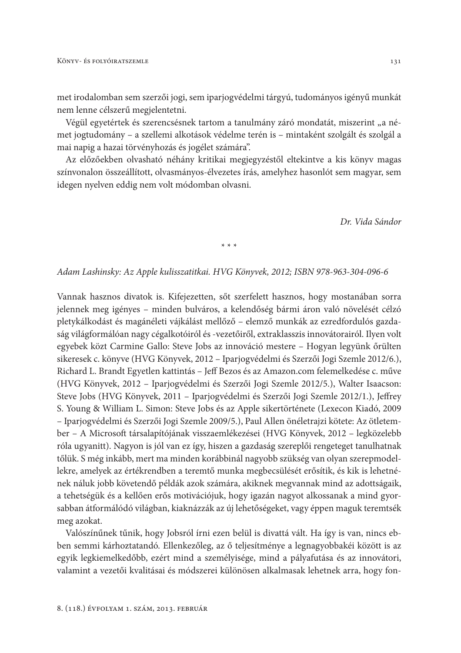met irodalomban sem szerzői jogi, sem iparjogyédelmi tárgyú, tudományos igényű munkát nem lenne célszerű megjelentetni.

Végül egyetértek és szerencsésnek tartom a tanulmány záró mondatát, miszerint "a német jogtudomány – a szellemi alkotások védelme terén is – mintaként szolgált és szolgál a mai napig a hazai törvényhozás és jogélet számára".

Az előzőekben olvasható néhány kritikai megjegyzéstől eltekintve a kis könyv magas színvonalon összeállított, olvasmányos-élvezetes írás, amelyhez hasonlót sem magyar, sem idegen nyelven eddig nem volt módomban olvasni.

Dr. Vida Sándor

 $* * *$ 

## Adam Lashinsky: Az Apple kulisszatitkai. HVG Könyvek, 2012; ISBN 978-963-304-096-6

Vannak hasznos divatok is. Kifejezetten, sőt szerfelett hasznos, hogy mostanában sorra jelennek meg igényes – minden bulváros, a kelendőség bármi áron való növelését célzó pletykálkodást és magánéleti vájkálást mellőző – elemző munkák az ezredfordulós gazdaság világformálóan nagy cégalkotóiról és -vezetőiről, extraklasszis innovátorairól. Ilyen volt egyebek közt Carmine Gallo: Steve Jobs az innováció mestere – Hogyan legyünk őrülten sikeresek c. könyve (HVG Könyvek, 2012 – Iparjogvédelmi és Szerzői Jogi Szemle 2012/6.), Richard L. Brandt Egyetlen kattintás - Jeff Bezos és az Amazon.com felemelkedése c. műve (HVG Könyvek, 2012 – Iparjogvédelmi és Szerzői Jogi Szemle 2012/5.), Walter Isaacson: Steve Jobs (HVG Könyvek, 2011 – Iparjogvédelmi és Szerzői Jogi Szemle 2012/1.), Jeffrey S. Young & William L. Simon: Steve Jobs és az Apple sikertörténete (Lexecon Kiadó, 2009 - Iparjogvédelmi és Szerzői Jogi Szemle 2009/5.), Paul Allen önéletrajzi kötete: Az ötletember – A Microsoft társalapítójának visszaemlékezései (HVG Könyvek, 2012 – legközelebb róla ugyanitt). Nagyon is jól van ez így, hiszen a gazdaság szereplői rengeteget tanulhatnak tőlük. S még inkább, mert ma minden korábbinál nagyobb szükség van olyan szerepmodellekre, amelyek az értékrendben a teremtő munka megbecsülését erősítik, és kik is lehetnének náluk jobb követendő példák azok számára, akiknek megvannak mind az adottságaik, a tehetségük és a kellően erős motivációjuk, hogy igazán nagyot alkossanak a mind gyorsabban átformálódó világban, kiaknázzák az új lehetőségeket, vagy éppen maguk teremtsék meg azokat.

Valószínűnek tűnik, hogy Jobsról írni ezen belül is divattá vált. Ha így is van, nincs ebben semmi kárhoztatandó. Ellenkezőleg, az ő teljesítménye a legnagyobbakéi között is az egyik legkiemelkedőbb, ezért mind a személyisége, mind a pályafutása és az innovátori, valamint a vezetői kvalitásai és módszerei különösen alkalmasak lehetnek arra, hogy fon-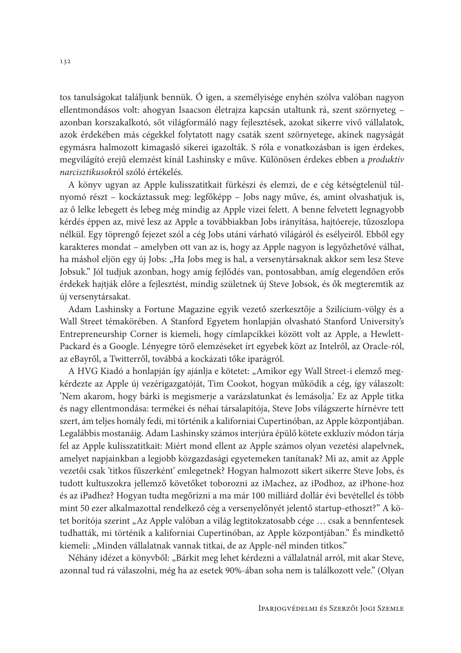tos tanulságokat találjunk bennük. Ó igen, a személyisége enyhén szólva valóban nagyon ellentmondásos volt: ahogyan Isaacson életrajza kapcsán utaltunk rá, szent szörnyeteg azonban korszakalkotó, sőt világformáló nagy fejlesztések, azokat sikerre vivő vállalatok, azok érdekében más cégekkel folytatott nagy csaták szent szörnyetege, akinek nagyságát egymásra halmozott kimagasló sikerei igazolták. S róla e vonatkozásban is igen érdekes, megvilágító erejű elemzést kínál Lashinsky e műve. Különösen érdekes ebben a produktív narcisztikusokról szóló értékelés.

A könyv ugyan az Apple kulisszatitkait fürkészi és elemzi, de e cég kétségtelenül túlnyomó részt – kockáztassuk meg: legfőképp – Jobs nagy műve, és, amint olvashatjuk is, az ő lelke lebegett és lebeg még mindig az Apple vizei felett. A benne felvetett legnagyobb kérdés éppen az, mivé lesz az Apple a továbbiakban Jobs irányítása, hajtóereje, tűzoszlopa nélkül. Egy töprengő fejezet szól a cég Jobs utáni várható világáról és esélyeiről. Ebből egy karakteres mondat – amelyben ott van az is, hogy az Apple nagyon is legyőzhetővé válhat, ha máshol eljön egy új Jobs: "Ha Jobs meg is hal, a versenytársaknak akkor sem lesz Steve Jobsuk." Jól tudjuk azonban, hogy amíg fejlődés van, pontosabban, amíg elegendően erős érdekek hajtják előre a fejlesztést, mindig születnek új Steve Jobsok, és ők megteremtik az új versenytársakat.

Adam Lashinsky a Fortune Magazine egyik vezető szerkesztője a Szilícium-völgy és a Wall Street témakörében. A Stanford Egyetem honlapján olvasható Stanford University's Entrepreneurship Corner is kiemeli, hogy címlapcikkei között volt az Apple, a Hewlett-Packard és a Google. Lényegre törő elemzéseket írt egyebek közt az Intelről, az Oracle-ról, az eBayről, a Twitterről, továbbá a kockázati tőke iparágról.

A HVG Kiadó a honlapján így ajánlja e kötetet: "Amikor egy Wall Street-i elemző megkérdezte az Apple új vezérigazgatóját, Tim Cookot, hogyan működik a cég, így válaszolt: 'Nem akarom, hogy bárki is megismerje a varázslatunkat és lemásolja.' Ez az Apple titka és nagy ellentmondása: termékei és néhai társalapítója, Steve Jobs világszerte hírnévre tett szert, ám teljes homály fedi, mi történik a kaliforniai Cupertinóban, az Apple központjában. Legalábbis mostanáig. Adam Lashinsky számos interjúra épülő kötete exkluzív módon tárja fel az Apple kulisszatitkait: Miért mond ellent az Apple számos olyan vezetési alapelvnek, amelyet napjainkban a legjobb közgazdasági egyetemeken tanítanak? Mi az, amit az Apple vezetői csak 'titkos fűszerként' emlegetnek? Hogyan halmozott sikert sikerre Steve Jobs, és tudott kultuszokra jellemző követőket toborozni az iMachez, az iPodhoz, az iPhone-hoz és az iPadhez? Hogyan tudta megőrizni a ma már 100 milliárd dollár évi bevétellel és több mint 50 ezer alkalmazottal rendelkező cég a versenyelőnyét jelentő startup-ethoszt?" A kötet borítója szerint "Az Apple valóban a világ legtitokzatosabb cége ... csak a bennfentesek tudhatták, mi történik a kaliforniai Cupertinóban, az Apple központjában." És mindkettő kiemeli: "Minden vállalatnak vannak titkai, de az Apple-nél minden titkos."

Néhány idézet a könyvből: "Bárkit meg lehet kérdezni a vállalatnál arról, mit akar Steve, azonnal tud rá válaszolni, még ha az esetek 90%-ában soha nem is találkozott vele." (Olyan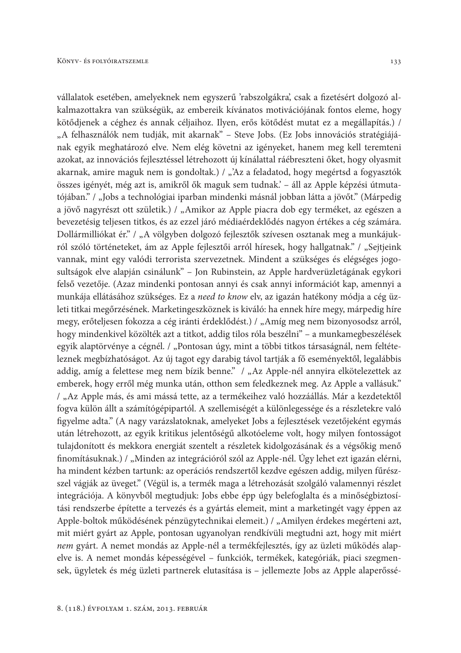vállalatok esetében, amelyeknek nem egyszerű 'rabszolgákra', csak a fizetésért dolgozó alkalmazottakra van szükségük, az embereik kívánatos motivációjának fontos eleme, hogy kötődjenek a céghez és annak céljaihoz. Ilyen, erős kötődést mutat ez a megállapítás.) / "A felhasználók nem tudják, mit akarnak" – Steve Jobs. (Ez Jobs innovációs stratégiájának egyik meghatározó elve. Nem elég követni az igényeket, hanem meg kell teremteni azokat, az innovációs fejlesztéssel létrehozott új kínálattal ráébreszteni őket, hogy olyasmit akarnak, amire maguk nem is gondoltak.) / "'Az a feladatod, hogy megértsd a fogyasztók összes igényét, még azt is, amikről ők maguk sem tudnak. – áll az Apple képzési útmutatójában." / "Jobs a technológiai iparban mindenki másnál jobban látta a jövőt." (Márpedig a jövő nagyrészt ott születik.) / "Amikor az Apple piacra dob egy terméket, az egészen a bevezetésig teljesen titkos, és az ezzel járó médiaérdeklődés nagyon értékes a cég számára. Dollármilliókat ér." / "A völgyben dolgozó fejlesztők szívesen osztanak meg a munkájukról szóló történeteket, ám az Apple fejlesztői arról híresek, hogy hallgatnak." / "Sejtjeink vannak, mint egy valódi terrorista szervezetnek. Mindent a szükséges és elégséges jogosultságok elve alapján csinálunk" – Jon Rubinstein, az Apple hardverüzletágának egykori felső vezetője. (Azaz mindenki pontosan annyi és csak annyi információt kap, amennyi a munkája ellátásához szükséges. Ez a need to know elv, az igazán hatékony módja a cég üzleti titkai megőrzésének. Marketingeszköznek is kiváló: ha ennek híre megy, márpedig híre megy, erőteljesen fokozza a cég iránti érdeklődést.) / "Amíg meg nem bizonyosodsz arról, hogy mindenkivel közölték azt a titkot, addig tilos róla beszélni" - a munkamegbeszélések egyik alaptörvénye a cégnél. / "Pontosan úgy, mint a többi titkos társaságnál, nem feltételeznek megbízhatóságot. Az új tagot egy darabig távol tartják a fő eseményektől, legalábbis addig, amíg a felettese meg nem bízik benne." / "Az Apple-nél annyira elkötelezettek az emberek, hogy erről még munka után, otthon sem feledkeznek meg. Az Apple a vallásuk." / "Az Apple más, és ami mássá tette, az a termékeihez való hozzáállás. Már a kezdetektől fogva külön állt a számítógépipartól. A szellemiségét a különlegessége és a részletekre való figyelme adta." (A nagy varázslatoknak, amelyeket Jobs a fejlesztések vezetőjeként egymás után létrehozott, az egyik kritikus jelentőségű alkotóeleme volt, hogy milyen fontosságot tulajdonított és mekkora energiát szentelt a részletek kidolgozásának és a végsőkig menő finomításuknak.) / "Minden az integrációról szól az Apple-nél. Úgy lehet ezt igazán elérni, ha mindent kézben tartunk: az operációs rendszertől kezdve egészen addig, milyen fűrészszel vágják az üveget." (Végül is, a termék maga a létrehozását szolgáló valamennyi részlet integrációja. A könyvből megtudjuk: Jobs ebbe épp úgy belefoglalta és a minőségbiztosítási rendszerbe építette a tervezés és a gyártás elemeit, mint a marketingét vagy éppen az Apple-boltok működésének pénzügytechnikai elemeit.) / "Amilyen érdekes megérteni azt, mit miért gyárt az Apple, pontosan ugyanolyan rendkívüli megtudni azt, hogy mit miért nem gyárt. A nemet mondás az Apple-nél a termékfejlesztés, így az üzleti működés alapelve is. A nemet mondás képességével – funkciók, termékek, kategóriák, piaci szegmensek, ügyletek és még üzleti partnerek elutasítása is – jellemezte Jobs az Apple alaperőssé-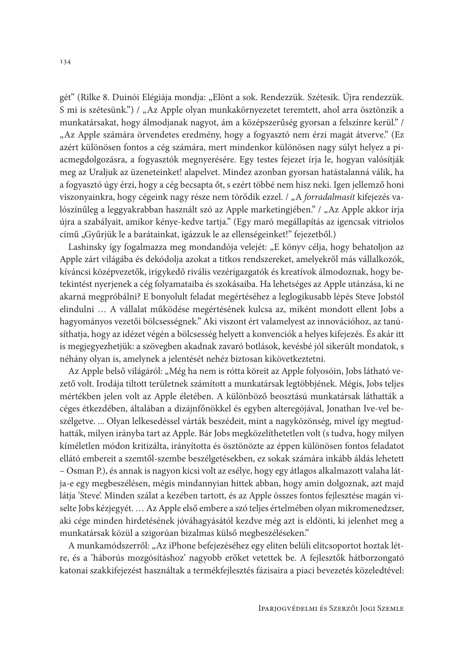gét" (Rilke 8. Duinói Elégiája mondja: "Elönt a sok. Rendezzük. Szétesik. Újra rendezzük. S mi is szétesünk.") / "Az Apple olyan munkakörnyezetet teremtett, ahol arra ösztönzik a munkatársakat, hogy álmodjanak nagyot, ám a középszerűség gyorsan a felszínre kerül." / "Az Apple számára örvendetes eredmény, hogy a fogyasztó nem érzi magát átverve." (Ez azért különösen fontos a cég számára, mert mindenkor különösen nagy súlyt helyez a piacmegdolgozásra, a fogyasztók megnyerésére. Egy testes fejezet írja le, hogyan valósítják meg az Uraljuk az üzeneteinket! alapelvet. Mindez azonban gyorsan hatástalanná válik, ha a fogyasztó úgy érzi, hogy a cég becsapta őt, s ezért többé nem hisz neki. Igen jellemző honi viszonyainkra, hogy cégeink nagy része nem törődik ezzel. / "A forradalmasít kifejezés valószínűleg a leggyakrabban használt szó az Apple marketingjében." / "Az Apple akkor írja újra a szabályait, amikor kénye-kedve tartja." (Egy maró megállapítás az igencsak vitriolos című "Gyűrjük le a barátainkat, igázzuk le az ellenségeinket!" fejezetből.)

Lashinsky így fogalmazza meg mondandója velejét: "E könyv célja, hogy behatoljon az Apple zárt világába és dekódolja azokat a titkos rendszereket, amelyekről más vállalkozók, kíváncsi középvezetők, irigykedő rivális vezérigazgatók és kreatívok álmodoznak, hogy betekintést nyerjenek a cég folyamataiba és szokásaiba. Ha lehetséges az Apple utánzása, ki ne akarná megpróbálni? E bonyolult feladat megértéséhez a leglogikusabb lépés Steve Jobstól elindulni ... A vállalat működése megértésének kulcsa az, miként mondott ellent Jobs a hagyományos vezetői bölcsességnek." Aki viszont ért valamelyest az innovációhoz, az tanúsíthatja, hogy az idézet végén a bölcsesség helyett a konvenciók a helyes kifejezés. És akár itt is megjegyezhetjük: a szövegben akadnak zavaró botlások, kevésbé jól sikerült mondatok, s néhány olyan is, amelynek a jelentését nehéz biztosan kikövetkeztetni.

Az Apple belső világáról: "Még ha nem is rótta köreit az Apple folyosóin, Jobs látható vezető volt. Irodája tiltott területnek számított a munkatársak legtöbbjének. Mégis, Jobs teljes mértékben jelen volt az Apple életében. A különböző beosztású munkatársak láthatták a céges étkezdében, általában a dizájnfőnökkel és egyben alteregójával, Jonathan Ive-vel beszélgetve. ... Olyan lelkesedéssel várták beszédeit, mint a nagyközönség, mivel így megtudhatták, milyen irányba tart az Apple. Bár Jobs megközelíthetetlen volt (s tudva, hogy milyen kíméletlen módon kritizálta, irányította és ösztönözte az éppen különösen fontos feladatot ellátó embereit a szemtől-szembe beszélgetésekben, ez sokak számára inkább áldás lehetett - Osman P.), és annak is nagyon kicsi volt az esélye, hogy egy átlagos alkalmazott valaha látja-e egy megbeszélésen, mégis mindannyian hittek abban, hogy amin dolgoznak, azt majd látja 'Steve'. Minden szálat a kezében tartott, és az Apple összes fontos fejlesztése magán viselte Jobs kézjegyét. ... Az Apple első embere a szó teljes értelmében olyan mikromenedzser, aki cége minden hirdetésének jóváhagyásától kezdve még azt is eldönti, ki jelenhet meg a munkatársak közül a szigorúan bizalmas külső megbeszéléseken."

A munkamódszerről: "Az iPhone befejezéséhez egy eliten belüli elitcsoportot hoztak létre, és a 'háborús mozgósításhoz' nagyobb erőket vetettek be. A fejlesztők hátborzongató katonai szakkifejezést használtak a termékfejlesztés fázisaira a piaci bevezetés közeledtével: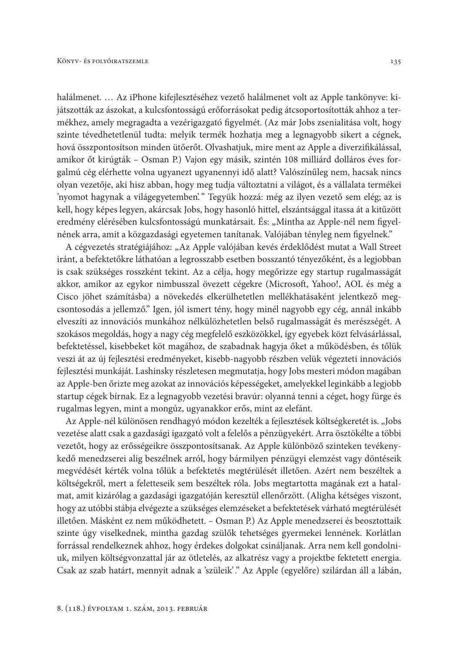halálmenet. ... Az iPhone kifejlesztéséhez vezető halálmenet volt az Apple tankönyve: kijátszották az ászokat, a kulcsfontosságú erőforrásokat pedig átcsoportosították ahhoz a termékhez, amely megragadta a vezérigazgató figyelmét. (Az már Jobs zsenialitása volt, hogy szinte tévedhetetlenül tudta: melyik termék hozhatja meg a legnagyobb sikert a cégnek, hová összpontosítson minden ütőerőt. Olvashatjuk, mire ment az Apple a diverzifikálással, amikor őt kirúgták – Osman P.) Vajon egy másik, szintén 108 milliárd dolláros éves forgalmú cég elérhette volna ugyanezt ugyanennyi idő alatt? Valószínűleg nem, hacsak nincs olyan vezetője, aki hisz abban, hogy meg tudja változtatni a világot, és a vállalata termékei 'nyomot hagynak a világegyetemben'." Tegyük hozzá: még az ilyen vezető sem elég; az is kell, hogy képes legyen, akárcsak Jobs, hogy hasonló hittel, elszántsággal itassa át a kitűzött eredmény elérésében kulcsfontosságú munkatársait. És: "Mintha az Apple-nél nem figyelnének arra, amit a közgazdasági egyetemen tanítanak. Valójában tényleg nem figyelnek."

A cégvezetés stratégiájához: "Az Apple valójában kevés érdeklődést mutat a Wall Street iránt, a befektetőkre láthatóan a legrosszabb esetben bosszantó tényezőként, és a legjobban is csak szükséges rosszként tekint. Az a célja, hogy megőrizze egy startup rugalmasságát akkor, amikor az egykor nimbusszal övezett cégekre (Microsoft, Yahoo!, AOL és még a Cisco jöhet számításba) a növekedés elkerülhetetlen mellékhatásaként jelentkező megcsontosodás a jellemző." Igen, jól ismert tény, hogy minél nagyobb egy cég, annál inkább elveszíti az innovációs munkához nélkülözhetetlen belső rugalmasságát és merészségét. A szokásos megoldás, hogy a nagy cég megfelelő eszközökkel, így egyebek közt felvásárlással, befektetéssel, kisebbeket köt magához, de szabadnak hagyja őket a működésben, és tőlük veszi át az új fejlesztési eredményeket, kisebb-nagyobb részben velük végezteti innovációs fejlesztési munkáját. Lashinsky részletesen megmutatja, hogy Jobs mesteri módon magában az Apple-ben őrizte meg azokat az innovációs képességeket, amelyekkel leginkább a legjobb startup cégek bírnak. Ez a legnagyobb vezetési bravúr: olyanná tenni a céget, hogy fürge és rugalmas legyen, mint a mongúz, ugyanakkor erős, mint az elefánt.

Az Apple-nél különösen rendhagyó módon kezelték a fejlesztések költségkeretét is. "Jobs vezetése alatt csak a gazdasági igazgató volt a felelős a pénzügyekért. Arra ösztökélte a többi vezetőt, hogy az erősségeikre összpontosítsanak. Az Apple különböző szinteken tevékenykedő menedzserei alig beszélnek arról, hogy bármilyen pénzügyi elemzést vagy döntéseik megvédését kérték volna tőlük a befektetés megtérülését illetően. Azért nem beszéltek a költségekről, mert a feletteseik sem beszéltek róla. Jobs megtartotta magának ezt a hatalmat, amit kizárólag a gazdasági igazgatóján keresztül ellenőrzött. (Aligha kétséges viszont, hogy az utóbbi stábja elvégezte a szükséges elemzéseket a befektetések várható megtérülését illetően. Másként ez nem működhetett. - Osman P.) Az Apple menedzserei és beosztottaik szinte úgy viselkednek, mintha gazdag szülők tehetséges gyermekei lennének. Korlátlan forrással rendelkeznek ahhoz, hogy érdekes dolgokat csináljanak. Arra nem kell gondolniuk, milyen költségyonzattal jár az ötletelés, az alkatrész vagy a projektbe fektetett energia. Csak az szab határt, mennyit adnak a 'szüleik'." Az Apple (egyelőre) szilárdan áll a lábán,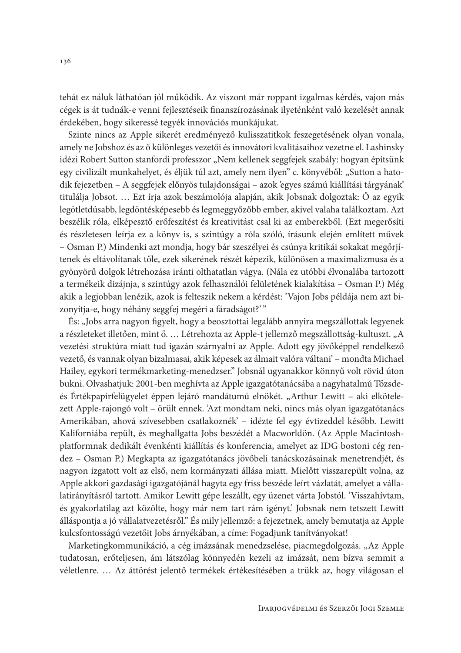tehát ez náluk láthatóan jól működik. Az viszont már roppant izgalmas kérdés, vajon más cégek is át tudnák-e venni fejlesztéseik finanszírozásának ilyeténként való kezelését annak érdekében, hogy sikeressé tegyék innovációs munkájukat.

Szinte nincs az Apple sikerét eredményező kulisszatitkok feszegetésének olyan vonala, amely ne Jobshoz és az ő különleges vezetői és innovátori kvalitásaihoz vezetne el. Lashinsky idézi Robert Sutton stanfordi professzor "Nem kellenek seggfejek szabály: hogyan építsünk egy civilizált munkahelyet, és éljük túl azt, amely nem ilyen" c. könyvéből: "Sutton a hatodik fejezetben – A seggfejek előnyös tulajdonságai – azok 'egyes számú kiállítási tárgyának' titulálja Jobsot. ... Ezt írja azok beszámolója alapján, akik Jobsnak dolgoztak: Ő az egyik legötletdúsabb, legdöntésképesebb és legmeggyőzőbb ember, akivel valaha találkoztam. Azt beszélik róla, elképesztő erőfeszítést és kreativitást csal ki az emberekből. (Ezt megerősíti és részletesen leírja ez a könyv is, s szintúgy a róla szóló, írásunk elején említett művek – Osman P.) Mindenki azt mondja, hogy bár szeszélyei és csúnya kritikái sokakat megőrjítenek és eltávolítanak tőle, ezek sikerének részét képezik, különösen a maximalizmusa és a gyönyörű dolgok létrehozása iránti olthatatlan vágya. (Nála ez utóbbi élvonalába tartozott a termékeik dizájnja, s szintúgy azok felhasználói felületének kialakítása – Osman P.) Még akik a legjobban lenézik, azok is felteszik nekem a kérdést: 'Vajon Jobs példája nem azt bizonyítja-e, hogy néhány seggfej megéri a fáradságot?'"

És: "Jobs arra nagyon figyelt, hogy a beosztottai legalább annyira megszállottak legyenek a részleteket illetően, mint ő. ... Létrehozta az Apple-t jellemző megszállottság-kultuszt. "A vezetési struktúra miatt tud igazán szárnyalni az Apple. Adott egy jövőképpel rendelkező vezető, és vannak olyan bizalmasai, akik képesek az álmait valóra váltani' - mondta Michael Hailey, egykori termékmarketing-menedzser." Jobsnál ugyanakkor könnyű volt rövid úton bukni. Olvashatjuk: 2001-ben meghívta az Apple igazgatótanácsába a nagyhatalmú Tőzsdeés Értékpapírfelügyelet éppen lejáró mandátumú elnökét. "Arthur Lewitt – aki elkötelezett Apple-rajongó volt - örült ennek. 'Azt mondtam neki, nincs más olyan igazgatótanács Amerikában, ahová szívesebben csatlakoznék<sup>2</sup> – idézte fel egy évtizeddel később. Lewitt Kaliforniába repült, és meghallgatta Jobs beszédét a Macworldön. (Az Apple Macintoshplatformnak dedikált évenkénti kiállítás és konferencia, amelyet az IDG bostoni cég rendez - Osman P.) Megkapta az igazgatótanács jövőbeli tanácskozásainak menetrendjét, és nagyon izgatott volt az első, nem kormányzati állása miatt. Mielőtt visszarepült volna, az Apple akkori gazdasági igazgatójánál hagyta egy friss beszéde leírt vázlatát, amelyet a vállalatirányításról tartott. Amikor Lewitt gépe leszállt, egy üzenet várta Jobstól. 'Visszahívtam, és gyakorlatilag azt közölte, hogy már nem tart rám igényt.' Jobsnak nem tetszett Lewitt álláspontja a jó vállalatvezetésről." És mily jellemző: a fejezetnek, amely bemutatja az Apple kulcsfontosságú vezetőit Jobs árnyékában, a címe: Fogadjunk tanítványokat!

Marketingkommunikáció, a cég imázsának menedzselése, piacmegdolgozás. "Az Apple tudatosan, erőteljesen, ám látszólag könnyedén kezeli az imázsát, nem bízva semmit a véletlenre. ... Az áttörést jelentő termékek értékesítésében a trükk az, hogy világosan el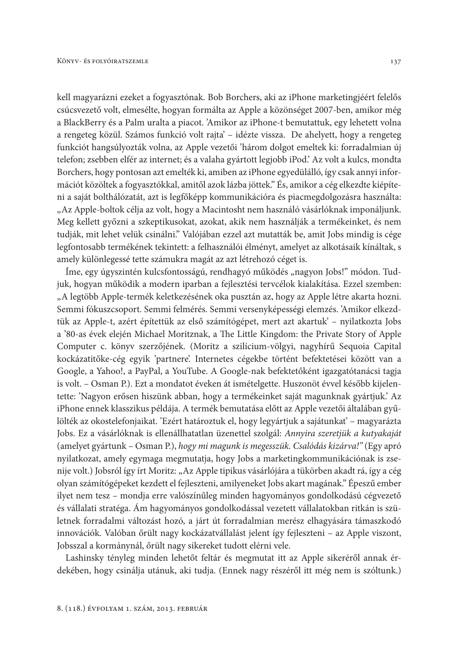kell magyarázni ezeket a fogyasztónak. Bob Borchers, aki az iPhone marketingjéért felelős csúcsvezető volt, elmesélte, hogyan formálta az Apple a közönséget 2007-ben, amikor még a BlackBerry és a Palm uralta a piacot. 'Amikor az iPhone-t bemutattuk, egy lehetett volna a rengeteg közül. Számos funkció volt rajta' - idézte vissza. De ahelyett, hogy a rengeteg funkciót hangsúlyozták volna, az Apple vezetői 'három dolgot emeltek ki: forradalmian új telefon; zsebben elfér az internet; és a valaha gyártott legjobb iPod. Az volt a kulcs, mondta Borchers, hogy pontosan azt emelték ki, amiben az iPhone egyedülálló, így csak annyi információt közöltek a fogyasztókkal, amitől azok lázba jöttek." És, amikor a cég elkezdte kiépíteni a saját bolthálózatát, azt is legfőképp kommunikációra és piacmegdolgozásra használta: "Az Apple-boltok célja az volt, hogy a Macintosht nem használó vásárlóknak imponáljunk. Meg kellett győzni a szkeptikusokat, azokat, akik nem használják a termékeinket, és nem tudják, mit lehet velük csinálni." Valójában ezzel azt mutatták be, amit Jobs mindig is cége legfontosabb termékének tekintett: a felhasználói élményt, amelyet az alkotásaik kínáltak, s amely különlegessé tette számukra magát az azt létrehozó céget is.

Íme, egy úgyszintén kulcsfontosságú, rendhagyó működés "nagyon Jobs!" módon. Tudjuk, hogyan működik a modern iparban a fejlesztési tervcélok kialakítása. Ezzel szemben: "A legtöbb Apple-termék keletkezésének oka pusztán az, hogy az Apple létre akarta hozni. Semmi fókuszcsoport. Semmi felmérés. Semmi versenyképességi elemzés. 'Amikor elkezdtük az Apple-t, azért építettük az első számítógépet, mert azt akartuk' – nyilatkozta Jobs a '80-as évek elején Michael Moritznak, a The Little Kingdom: the Private Story of Apple Computer c. könyv szerzőjének. (Moritz a szilícium-völgyi, nagyhírű Sequoia Capital kockázatitőke-cég egyik 'partnere'. Internetes cégekbe történt befektetései között van a Google, a Yahoo!, a PayPal, a YouTube. A Google-nak befektetőként igazgatótanácsi tagja is volt. - Osman P.). Ezt a mondatot éveken át ismételgette. Huszonöt évvel később kijelentette: 'Nagyon erősen hiszünk abban, hogy a termékeinket saját magunknak gyártjuk.' Az iPhone ennek klasszikus példája. A termék bemutatása előtt az Apple vezetői általában gyűlölték az okostelefonjaikat. 'Ezért határoztuk el, hogy legyártjuk a sajátunkat' – magyarázta Jobs. Ez a vásárlóknak is ellenállhatatlan üzenettel szolgál: Annyira szeretjük a kutyakaját (amelyet gyártunk - Osman P.), hogy mi magunk is megesszük. Csalódás kizárva!" (Egy apró nyilatkozat, amely egymaga megmutatja, hogy Jobs a marketingkommunikációnak is zsenije volt.) Jobsról így írt Moritz: "Az Apple tipikus vásárlójára a tükörben akadt rá, így a cég olyan számítógépeket kezdett el fejleszteni, amilyeneket Jobs akart magának." Épeszű ember ilyet nem tesz – mondja erre valószínűleg minden hagyományos gondolkodású cégvezető és vállalati stratéga. Ám hagyományos gondolkodással vezetett vállalatokban ritkán is születnek forradalmi változást hozó, a járt út forradalmian merész elhagyására támaszkodó innovációk. Valóban őrült nagy kockázatvállalást jelent így fejleszteni - az Apple viszont, Jobsszal a kormánynál, őrült nagy sikereket tudott elérni vele.

Lashinsky tényleg minden lehetőt feltár és megmutat itt az Apple sikeréről annak érdekében, hogy csinálja utánuk, aki tudja. (Ennek nagy részéről itt még nem is szóltunk.)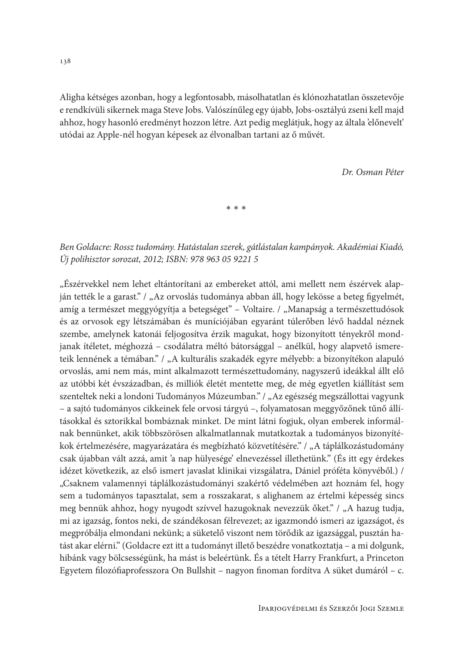Aligha kétséges azonban, hogy a legfontosabb, másolhatatlan és klónozhatatlan összetevője e rendkívüli sikernek maga Steve Jobs. Valószínűleg egy újabb, Jobs-osztályú zseni kell majd ahhoz, hogy hasonló eredményt hozzon létre. Azt pedig meglátjuk, hogy az általa 'előnevelt' utódai az Apple-nél hogyan képesek az élvonalban tartani az ő művét.

Dr. Osman Péter

 $* * *$ 

Ben Goldacre: Rossz tudomány. Hatástalan szerek, gátlástalan kampányok. Akadémiai Kiadó, Új polihisztor sorozat, 2012; ISBN: 978 963 05 9221 5

"Észérvekkel nem lehet eltántorítani az embereket attól, ami mellett nem észérvek alapján tették le a garast." / "Az orvoslás tudománya abban áll, hogy lekösse a beteg figyelmét, amíg a természet meggyógyítja a betegséget" – Voltaire. / "Manapság a természettudósok és az orvosok egy létszámában és muníciójában egyaránt túlerőben lévő haddal néznek szembe, amelynek katonái feljogosítva érzik magukat, hogy bizonyított tényekről mondjanak ítéletet, méghozzá – csodálatra méltó bátorsággal – anélkül, hogy alapvető ismereteik lennének a témában." / "A kulturális szakadék egyre mélyebb: a bizonyítékon alapuló orvoslás, ami nem más, mint alkalmazott természettudomány, nagyszerű ideákkal állt elő az utóbbi két évszázadban, és milliók életét mentette meg, de még egyetlen kiállítást sem szenteltek neki a londoni Tudományos Múzeumban." / "Az egészség megszállottai vagyunk - a sajtó tudományos cikkeinek fele orvosi tárgyú -, folyamatosan meggyőzőnek tűnő állításokkal és sztorikkal bombáznak minket. De mint látni fogjuk, olyan emberek informálnak bennünket, akik többszörösen alkalmatlannak mutatkoztak a tudományos bizonyítékok értelmezésére, magyarázatára és megbízható közvetítésére." / "A táplálkozástudomány csak újabban vált azzá, amit 'a nap hülyesége' elnevezéssel illethetünk." (És itt egy érdekes idézet következik, az első ismert javaslat klinikai vizsgálatra, Dániel próféta könyvéből.) / "Csaknem valamennyi táplálkozástudományi szakértő védelmében azt hoznám fel, hogy sem a tudományos tapasztalat, sem a rosszakarat, s alighanem az értelmi képesség sincs meg bennük ahhoz, hogy nyugodt szívvel hazugoknak nevezzük őket." / "A hazug tudja, mi az igazság, fontos neki, de szándékosan félrevezet; az igazmondó ismeri az igazságot, és megpróbálja elmondani nekünk; a süketelő viszont nem törődik az igazsággal, pusztán hatást akar elérni." (Goldacre ezt itt a tudományt illető beszédre vonatkoztatja - a mi dolgunk, hibánk vagy bölcsességünk, ha mást is beleértünk. És a tételt Harry Frankfurt, a Princeton Egyetem filozófiaprofesszora On Bullshit – nagyon finoman fordítva A süket dumáról – c.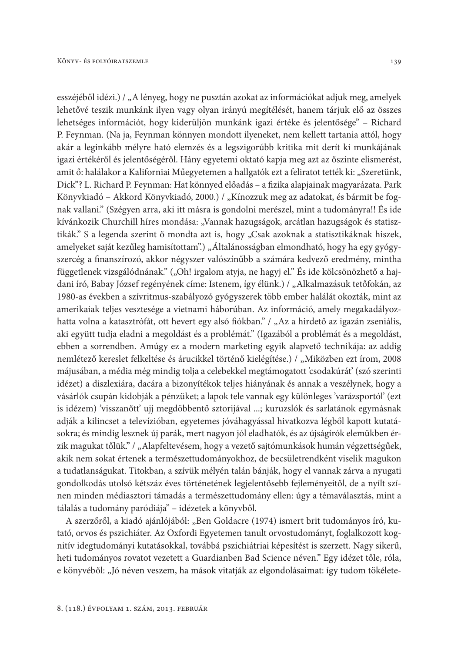esszéjéből idézi.) / "A lényeg, hogy ne pusztán azokat az információkat adjuk meg, amelyek lehetővé teszik munkánk ilyen vagy olyan irányú megítélését, hanem tárjuk elő az összes lehetséges információt, hogy kiderüljön munkánk igazi értéke és jelentősége" – Richard P. Feynman. (Na ja, Feynman könnyen mondott ilyeneket, nem kellett tartania attól, hogy akár a leginkább mélyre ható elemzés és a legszigorúbb kritika mit derít ki munkájának igazi értékéről és jelentőségéről. Hány egyetemi oktató kapja meg azt az őszinte elismerést, amit ő: halálakor a Kaliforniai Műegyetemen a hallgatók ezt a feliratot tették ki: "Szeretünk, Dick"? L. Richard P. Feynman: Hat könnyed előadás – a fizika alapjainak magyarázata. Park Könyvkiadó - Akkord Könyvkiadó, 2000.) / "Kínozzuk meg az adatokat, és bármit be fognak vallani." (Szégyen arra, aki itt másra is gondolni merészel, mint a tudományra!! És ide kívánkozik Churchill híres mondása: "Vannak hazugságok, arcátlan hazugságok és statisztikák." S a legenda szerint ő mondta azt is, hogy "Csak azoknak a statisztikáknak hiszek, amelyeket saját kezűleg hamisítottam".) "Általánosságban elmondható, hogy ha egy gyógyszercég a finanszírozó, akkor négyszer valószínűbb a számára kedvező eredmény, mintha függetlenek vizsgálódnának." ("Oh! irgalom atyja, ne hagyj el." És ide kölcsönözhető a hajdani író, Babay József regényének címe: Istenem, így élünk.) / "Alkalmazásuk tetőfokán, az 1980-as években a szívritmus-szabályozó gyógyszerek több ember halálát okozták, mint az amerikaiak teljes vesztesége a vietnami háborúban. Az információ, amely megakadályozhatta volna a katasztrófát, ott hevert egy alsó fiókban." / "Az a hirdető az igazán zseniális, aki együtt tudja eladni a megoldást és a problémát." (Igazából a problémát és a megoldást, ebben a sorrendben. Amúgy ez a modern marketing egyik alapvető technikája: az addig nemlétező kereslet felkeltése és árucikkel történő kielégítése.) / "Miközben ezt írom, 2008 májusában, a média még mindig tolja a celebekkel megtámogatott 'csodakúrát' (szó szerinti idézet) a diszlexiára, dacára a bizonyítékok teljes hiányának és annak a veszélynek, hogy a vásárlók csupán kidobják a pénzüket; a lapok tele vannak egy különleges 'varázsportól' (ezt is idézem) 'visszanőtt' ujj megdöbbentő sztorijával ...; kuruzslók és sarlatánok egymásnak adják a kilincset a televízióban, egyetemes jóváhagyással hivatkozva légből kapott kutatásokra; és mindig lesznek új parák, mert nagyon jól eladhatók, és az újságírók elemükben érzik magukat tőlük." / "Alapfeltevésem, hogy a vezető sajtómunkások humán végzettségűek, akik nem sokat értenek a természettudományokhoz, de becsületrendként viselik magukon a tudatlanságukat. Titokban, a szívük mélyén talán bánják, hogy el vannak zárva a nyugati gondolkodás utolsó kétszáz éves történetének legjelentősebb fejleményeitől, de a nyílt színen minden médiasztori támadás a természettudomány ellen: úgy a témaválasztás, mint a tálalás a tudomány paródiája" - idézetek a könyvből.

A szerzőről, a kiadó ajánlójából: "Ben Goldacre (1974) ismert brit tudományos író, kutató, orvos és pszichiáter. Az Oxfordi Egyetemen tanult orvostudományt, foglalkozott kognitív idegtudományi kutatásokkal, továbbá pszichiátriai képesítést is szerzett. Nagy sikerű, heti tudományos rovatot vezetett a Guardianben Bad Science néven." Egy idézet tőle, róla, e könyvéből: "Jó néven veszem, ha mások vitatják az elgondolásaimat: így tudom tökélete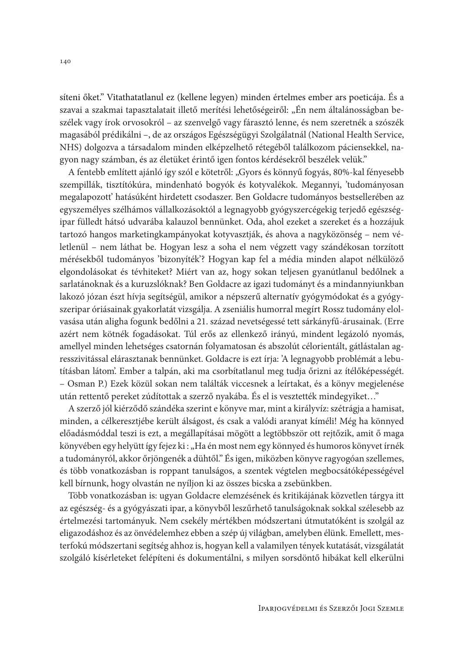síteni őket." Vitathatatlanul ez (kellene legyen) minden értelmes ember ars poeticája. És a szavai a szakmai tapasztalatait illető merítési lehetőségeiről: "Én nem általánosságban beszélek vagy írok orvosokról – az szenvelgő vagy fárasztó lenne, és nem szeretnék a szószék magasából prédikálni –, de az országos Egészségügyi Szolgálatnál (National Health Service, NHS) dolgozva a társadalom minden elképzelhető rétegéből találkozom páciensekkel, nagyon nagy számban, és az életüket érintő igen fontos kérdésekről beszélek velük."

A fentebb említett ajánló így szól e kötetről: "Gyors és könnyű fogyás, 80%-kal fényesebb szempillák, tisztítókúra, mindenható bogyók és kotyvalékok. Megannyi, 'tudományosan megalapozott' hatásúként hirdetett csodaszer. Ben Goldacre tudományos bestsellerében az egyszemélyes szélhámos vállalkozásoktól a legnagyobb gyógyszercégekig terjedő egészségipar fülledt hátsó udvarába kalauzol bennünket. Oda, ahol ezeket a szereket és a hozzájuk tartozó hangos marketingkampányokat kotyvasztják, és ahova a nagyközönség – nem véletlenül – nem láthat be. Hogyan lesz a soha el nem végzett vagy szándékosan torzított mérésekből tudományos 'bizonyíték'? Hogyan kap fel a média minden alapot nélkülöző elgondolásokat és tévhiteket? Miért van az, hogy sokan teljesen gyanútlanul bedőlnek a sarlatánoknak és a kuruzslóknak? Ben Goldacre az igazi tudományt és a mindannyiunkban lakozó józan észt hívja segítségül, amikor a népszerű alternatív gyógymódokat és a gyógyszeripar óriásainak gyakorlatát vizsgálja. A zseniális humorral megírt Rossz tudomány elolvasása után aligha fogunk bedőlni a 21. század nevetségessé tett sárkányfű-árusainak. (Erre azért nem kötnék fogadásokat. Túl erős az ellenkező irányú, mindent legázoló nyomás, amellyel minden lehetséges csatornán folyamatosan és abszolút célorientált, gátlástalan agresszivitással elárasztanak bennünket. Goldacre is ezt írja: 'A legnagyobb problémát a lebutításban látom. Ember a talpán, aki ma csorbítatlanul meg tudja őrizni az ítélőképességét. - Osman P.) Ezek közül sokan nem találták viccesnek a leírtakat, és a könyv megjelenése után rettentő pereket zúdítottak a szerző nyakába. És el is vesztették mindegyiket..."

A szerző jól kiérződő szándéka szerint e könyve mar, mint a királyvíz: szétrágja a hamisat, minden, a célkeresztjébe került álságost, és csak a valódi aranyat kíméli! Még ha könnyed előadásmóddal teszi is ezt, a megállapításai mögött a legtöbbször ott rejtőzik, amit ő maga könyvében egy helyütt így fejez ki : "Ha én most nem egy könnyed és humoros könyvet írnék a tudományról, akkor őrjöngenék a dühtől." És igen, miközben könyve ragyogóan szellemes, és több vonatkozásban is roppant tanulságos, a szentek végtelen megbocsátóképességével kell bírnunk, hogy olvastán ne nyíljon ki az összes bicska a zsebünkben.

Több vonatkozásban is: ugyan Goldacre elemzésének és kritikájának közvetlen tárgya itt az egészség- és a gyógyászati ipar, a könyvből leszűrhető tanulságoknak sokkal szélesebb az értelmezési tartományuk. Nem csekély mértékben módszertani útmutatóként is szolgál az eligazodáshoz és az önvédelemhez ebben a szép új világban, amelyben élünk. Emellett, mesterfokú módszertani segítség ahhoz is, hogyan kell a valamilyen tények kutatását, vizsgálatát szolgáló kísérleteket felépíteni és dokumentálni, s milyen sorsdöntő hibákat kell elkerülni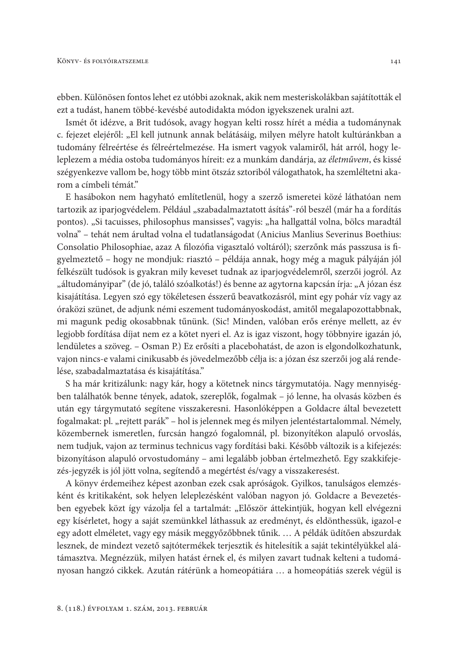ebben. Különösen fontos lehet ez utóbbi azoknak, akik nem mesteriskolákban sajátították el ezt a tudást, hanem többé-kevésbé autodidakta módon igyekszenek uralni azt.

Ismét őt idézve, a Brit tudósok, avagy hogyan kelti rossz hírét a média a tudománynak c. fejezet elejéről: "El kell jutnunk annak belátásáig, milyen mélyre hatolt kultúránkban a tudomány félreértése és félreértelmezése. Ha ismert vagyok valamiről, hát arról, hogy leleplezem a média ostoba tudományos híreit: ez a munkám dandárja, az életművem, és kissé szégyenkezve vallom be, hogy több mint ötszáz sztoriból válogathatok, ha szemléltetni akarom a címbeli témát."

E hasábokon nem hagyható említetlenül, hogy a szerző ismeretei közé láthatóan nem tartozik az iparjogvédelem. Például "szabadalmaztatott ásítás"-ról beszél (már ha a fordítás pontos). "Si tacuisses, philosophus mansisses", vagyis: "ha hallgattál volna, bölcs maradtál volna" – tehát nem árultad volna el tudatlanságodat (Anicius Manlius Severinus Boethius: Consolatio Philosophiae, azaz A filozófia vigasztaló voltáról); szerzőnk más passzusa is figyelmeztető – hogy ne mondjuk: riasztó – példája annak, hogy még a maguk pályáján jól felkészült tudósok is gyakran mily keveset tudnak az iparjogvédelemről, szerzői jogról. Az "áltudományipar" (de jó, találó szóalkotás!) és benne az agytorna kapcsán írja: "A józan ész kisajátítása. Legyen szó egy tökéletesen ésszerű beavatkozásról, mint egy pohár víz vagy az óraközi szünet, de adjunk némi eszement tudományoskodást, amitől megalapozottabbnak, mi magunk pedig okosabbnak tűnünk. (Sic! Minden, valóban erős erénye mellett, az év legjobb fordítása díjat nem ez a kötet nyeri el. Az is igaz viszont, hogy többnyire igazán jó, lendületes a szöveg. – Osman P.) Ez erősíti a placebohatást, de azon is elgondolkozhatunk, vajon nincs-e valami cinikusabb és jövedelmezőbb célja is: a józan ész szerzői jog alá rendelése, szabadalmaztatása és kisajátítása."

S ha már kritizálunk: nagy kár, hogy a kötetnek nincs tárgymutatója. Nagy mennyiségben találhatók benne tények, adatok, szereplők, fogalmak – jó lenne, ha olvasás közben és után egy tárgymutató segítene visszakeresni. Hasonlóképpen a Goldacre által bevezetett fogalmakat: pl. "rejtett parák" – hol is jelennek meg és milyen jelentéstartalommal. Némely, közembernek ismeretlen, furcsán hangzó fogalomnál, pl. bizonyítékon alapuló orvoslás, nem tudjuk, vajon az terminus technicus vagy fordítási baki. Később változik is a kifejezés: bizonyításon alapuló orvostudomány – ami legalább jobban értelmezhető. Egy szakkifejezés-jegyzék is jól jött volna, segítendő a megértést és/vagy a visszakeresést.

A könyv érdemeihez képest azonban ezek csak apróságok. Gyilkos, tanulságos elemzésként és kritikaként, sok helyen leleplezésként valóban nagyon jó. Goldacre a Bevezetésben egyebek közt így vázolja fel a tartalmát: "Először áttekintjük, hogyan kell elvégezni egy kísérletet, hogy a saját szemünkkel láthassuk az eredményt, és eldönthessük, igazol-e egy adott elméletet, vagy egy másik meggyőzőbbnek tűnik. ... A példák üdítően abszurdak lesznek, de mindezt vezető sajtótermékek terjesztik és hitelesítik a saját tekintélyükkel alátámasztva. Megnézzük, milyen hatást érnek el, és milyen zavart tudnak kelteni a tudományosan hangzó cikkek. Azután rátérünk a homeopátiára ... a homeopátiás szerek végül is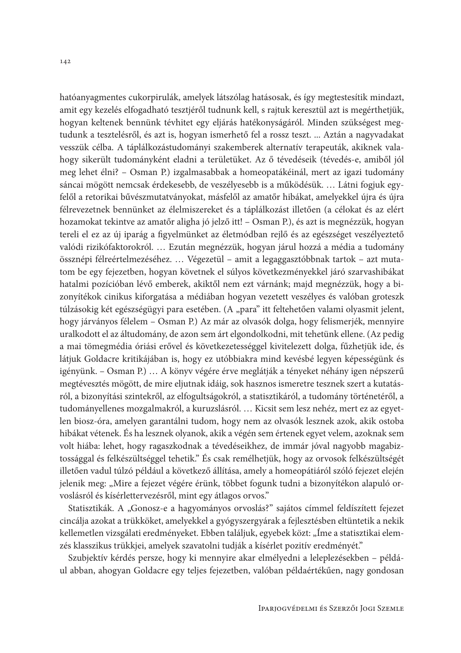hatóanyagmentes cukorpirulák, amelyek látszólag hatásosak, és így megtestesítik mindazt, amit egy kezelés elfogadható tesztjéről tudnunk kell, s rajtuk keresztül azt is megérthetjük, hogyan keltenek bennünk tévhitet egy eljárás hatékonyságáról. Minden szükségest megtudunk a tesztelésről, és azt is, hogyan ismerhető fel a rossz teszt. ... Aztán a nagyvadakat vesszük célba. A táplálkozástudományi szakemberek alternatív terapeuták, akiknek valahogy sikerült tudományként eladni a területüket. Az ő tévedéseik (tévedés-e, amiből jól meg lehet élni? – Osman P.) izgalmasabbak a homeopatákéinál, mert az igazi tudomány sáncai mögött nemcsak érdekesebb, de veszélyesebb is a működésük. ... Látni fogjuk egyfelől a retorikai bűvészmutatványokat, másfelől az amatőr hibákat, amelyekkel újra és újra félrevezetnek bennünket az élelmiszereket és a táplálkozást illetően (a célokat és az elért hozamokat tekintve az amatőr aligha jó jelző itt! - Osman P.), és azt is megnézzük, hogyan tereli el ez az új iparág a figyelmünket az életmódban rejlő és az egészséget veszélyeztető valódi rizikófaktorokról... Ezután megnézzük, hogyan járul hozzá a média a tudomány össznépi félreértelmezéséhez.... Végezetül – amit a legaggasztóbbnak tartok – azt mutatom be egy fejezetben, hogyan követnek el súlyos következményekkel járó szarvashibákat hatalmi pozícióban lévő emberek, akiktől nem ezt várnánk; majd megnézzük, hogy a bizonyítékok cinikus kiforgatása a médiában hogyan vezetett veszélyes és valóban groteszk túlzásokig két egészségügyi para esetében. (A "para" itt feltehetően valami olyasmit jelent, hogy járványos félelem - Osman P.) Az már az olvasók dolga, hogy felismerjék, mennyire uralkodott el az áltudomány, de azon sem árt elgondolkodni, mit tehetünk ellene. (Az pedig a mai tömegmédia óriási erővel és következetességgel kivitelezett dolga, fűzhetjük ide, és látjuk Goldacre kritikájában is, hogy ez utóbbiakra mind kevésbé legyen képességünk és igényünk. – Osman P.) ... A könyv végére érve meglátják a tényeket néhány igen népszerű megtévesztés mögött, de mire eljutnak idáig, sok hasznos ismeretre tesznek szert a kutatásról, a bizonyítási szintekről, az elfogultságokról, a statisztikáról, a tudomány történetéről, a tudományellenes mozgalmakról, a kuruzslásról. ... Kicsit sem lesz nehéz, mert ez az egyetlen biosz-óra, amelyen garantálni tudom, hogy nem az olvasók lesznek azok, akik ostoba hibákat vétenek. És ha lesznek olyanok, akik a végén sem értenek egyet velem, azoknak sem volt hiába: lehet, hogy ragaszkodnak a tévedéseikhez, de immár jóval nagyobb magabiztossággal és felkészültséggel tehetik." És csak remélhetjük, hogy az orvosok felkészültségét illetően vadul túlzó például a következő állítása, amely a homeopátiáról szóló fejezet elején jelenik meg: "Mire a fejezet végére érünk, többet fogunk tudni a bizonyítékon alapuló orvoslásról és kísérlettervezésről, mint egy átlagos orvos."

Statisztikák. A "Gonosz-e a hagyományos orvoslás?" sajátos címmel feldíszített fejezet cincálja azokat a trükköket, amelyekkel a gyógyszergyárak a fejlesztésben eltüntetik a nekik kellemetlen vizsgálati eredményeket. Ebben találjuk, egyebek közt: "Íme a statisztikai elemzés klasszikus trükkjei, amelyek szavatolni tudják a kísérlet pozitív eredményét."

Szubjektív kérdés persze, hogy ki mennyire akar elmélyedni a leleplezésekben – például abban, ahogyan Goldacre egy teljes fejezetben, valóban példaértékűen, nagy gondosan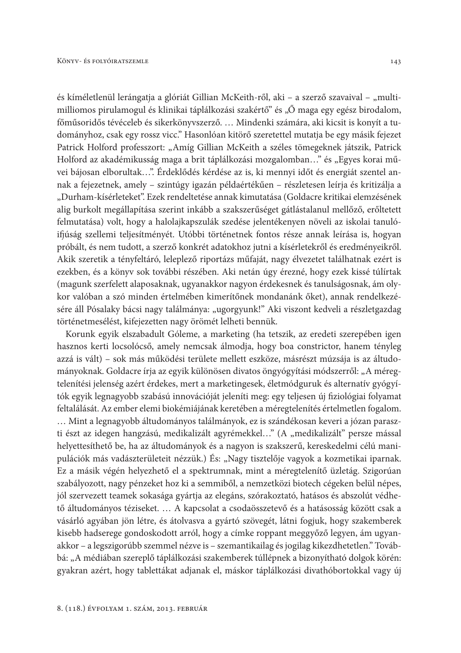és kíméletlenül lerángatja a glóriát Gillian McKeith-ről, aki – a szerző szavaival – "multimilliomos pirulamogul és klinikai táplálkozási szakértő" és "Ő maga egy egész birodalom, főműsoridős tévéceleb és sikerkönyvszerző. ... Mindenki számára, aki kicsit is konyít a tudományhoz, csak egy rossz vicc." Hasonlóan kitörő szeretettel mutatja be egy másik fejezet Patrick Holford professzort: "Amíg Gillian McKeith a széles tömegeknek játszik, Patrick Holford az akadémikusság maga a brit táplálkozási mozgalomban..." és "Egyes korai művei bájosan elborultak...". Érdeklődés kérdése az is, ki mennyi időt és energiát szentel annak a fejezetnek, amely – szintúgy igazán példaértékűen – részletesen leírja és kritizálja a "Durham-kísérleteket". Ezek rendeltetése annak kimutatása (Goldacre kritikai elemzésének alig burkolt megállapítása szerint inkább a szakszerűséget gátlástalanul mellőző, erőltetett felmutatása) volt, hogy a halolajkapszulák szedése jelentékenyen növeli az iskolai tanulóifjúság szellemi teljesítményét. Utóbbi történetnek fontos része annak leírása is, hogyan próbált, és nem tudott, a szerző konkrét adatokhoz jutni a kísérletekről és eredményeikről. Akik szeretik a tényfeltáró, leleplező riportázs műfaját, nagy élvezetet találhatnak ezért is ezekben, és a könyv sok további részében. Aki netán úgy érezné, hogy ezek kissé túlírtak (magunk szerfelett alaposaknak, ugyanakkor nagyon érdekesnek és tanulságosnak, ám olykor valóban a szó minden értelmében kimerítőnek mondanánk őket), annak rendelkezésére áll Pósalaky bácsi nagy találmánya: "ugorgyunk!" Aki viszont kedveli a részletgazdag történetmesélést, kifejezetten nagy örömét lelheti bennük.

Korunk egyik elszabadult Góleme, a marketing (ha tetszik, az eredeti szerepében igen hasznos kerti locsolócső, amely nemcsak álmodja, hogy boa constrictor, hanem tényleg azzá is vált) – sok más működési területe mellett eszköze, másrészt múzsája is az áltudományoknak. Goldacre írja az egyik különösen divatos öngyógyítási módszerről: "A méregtelenítési jelenség azért érdekes, mert a marketingesek, életmódguruk és alternatív gyógyítók egyik legnagyobb szabású innovációját jeleníti meg: egy teljesen új fiziológiai folyamat feltalálását. Az ember elemi biokémiájának keretében a méregtelenítés értelmetlen fogalom. ... Mint a legnagyobb áltudományos találmányok, ez is szándékosan keveri a józan paraszti észt az idegen hangzású, medikalizált agyrémekkel..." (A "medikalizált" persze mással helyettesíthető be, ha az áltudományok és a nagyon is szakszerű, kereskedelmi célú manipulációk más vadászterületeit nézzük.) És: "Nagy tisztelője vagyok a kozmetikai iparnak. Ez a másik végén helyezhető el a spektrumnak, mint a méregtelenítő üzletág. Szigorúan szabályozott, nagy pénzeket hoz ki a semmiből, a nemzetközi biotech cégeken belül népes, jól szervezett teamek sokasága gyártja az elegáns, szórakoztató, hatásos és abszolút védhető áltudományos téziseket. ... A kapcsolat a csodaösszetevő és a hatásosság között csak a vásárló agyában jön létre, és átolvasva a gyártó szövegét, látni fogjuk, hogy szakemberek kisebb hadserege gondoskodott arról, hogy a címke roppant meggyőző legyen, ám ugyanakkor - a legszigorúbb szemmel nézve is - szemantikailag és jogilag kikezdhetetlen." Továbbá: "A médiában szereplő táplálkozási szakemberek túllépnek a bizonyítható dolgok körén: gyakran azért, hogy tablettákat adjanak el, máskor táplálkozási divathóbortokkal vagy új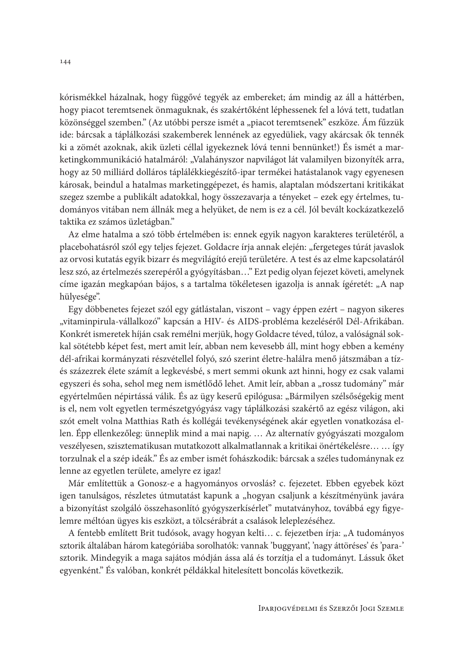kórismékkel házalnak, hogy függővé tegyék az embereket; ám mindig az áll a háttérben, hogy piacot teremtsenek önmaguknak, és szakértőként léphessenek fel a lóvá tett, tudatlan közönséggel szemben." (Az utóbbi persze ismét a "piacot teremtsenek" eszköze. Ám fűzzük ide: bárcsak a táplálkozási szakemberek lennének az egyedüliek, vagy akárcsak ők tennék ki a zömét azoknak, akik üzleti céllal igyekeznek lóvá tenni bennünket!) És ismét a marketingkommunikáció hatalmáról: "Valahányszor napvilágot lát valamilyen bizonyíték arra, hogy az 50 milliárd dolláros táplálékkiegészítő-ipar termékei hatástalanok vagy egyenesen károsak, beindul a hatalmas marketinggépezet, és hamis, alaptalan módszertani kritikákat szegez szembe a publikált adatokkal, hogy összezavarja a tényeket – ezek egy értelmes, tudományos vitában nem állnák meg a helyüket, de nem is ez a cél. Jól bevált kockázatkezelő taktika ez számos üzletágban."

Az elme hatalma a szó több értelmében is: ennek egyik nagyon karakteres területéről, a placebohatásról szól egy teljes fejezet. Goldacre írja annak elején: "fergeteges túrát javaslok az orvosi kutatás egyik bizarr és megvilágító erejű területére. A test és az elme kapcsolatáról lesz szó, az értelmezés szerepéről a gyógyításban..." Ezt pedig olyan fejezet követi, amelynek címe igazán megkapóan bájos, s a tartalma tökéletesen igazolja is annak ígéretét: "A nap hülyesége".

Egy döbbenetes fejezet szól egy gátlástalan, viszont – vagy éppen ezért – nagyon sikeres "vitaminpirula-vállalkozó" kapcsán a HIV- és AIDS-probléma kezeléséről Dél-Afrikában. Konkrét ismeretek híján csak remélni merjük, hogy Goldacre téved, túloz, a valóságnál sokkal sötétebb képet fest, mert amit leír, abban nem kevesebb áll, mint hogy ebben a kemény dél-afrikai kormányzati részvétellel folyó, szó szerint életre-halálra menő játszmában a tízés százezrek élete számít a legkevésbé, s mert semmi okunk azt hinni, hogy ez csak valami egyszeri és soha, sehol meg nem ismétlődő lehet. Amit leír, abban a "rossz tudomány" már egyértelműen népirtássá válik. És az ügy keserű epilógusa: "Bármilyen szélsőségekig ment is el, nem volt egyetlen természetgyógyász vagy táplálkozási szakértő az egész világon, aki szót emelt volna Matthias Rath és kollégái tevékenységének akár egyetlen vonatkozása ellen. Épp ellenkezőleg: ünneplik mind a mai napig. ... Az alternatív gyógyászati mozgalom veszélyesen, szisztematikusan mutatkozott alkalmatlannak a kritikai önértékelésre... ... így torzulnak el a szép ideák." És az ember ismét fohászkodik: bárcsak a széles tudománynak ez lenne az egyetlen területe, amelyre ez igaz!

Már említettük a Gonosz-e a hagyományos orvoslás? c. fejezetet. Ebben egyebek közt igen tanulságos, részletes útmutatást kapunk a "hogyan csaljunk a készítményünk javára a bizonyítást szolgáló összehasonlító gyógyszerkísérlet" mutatványhoz, továbbá egy figyelemre méltóan ügyes kis eszközt, a tölcsérábrát a csalások leleplezéséhez.

A fentebb említett Brit tudósok, avagy hogyan kelti... c. fejezetben írja: "A tudományos sztorik általában három kategóriába sorolhatók: vannak 'buggyant', 'nagy áttöréses' és 'para-' sztorik. Mindegyik a maga sajátos módján ássa alá és torzítja el a tudományt. Lássuk őket egyenként." És valóban, konkrét példákkal hitelesített boncolás következik.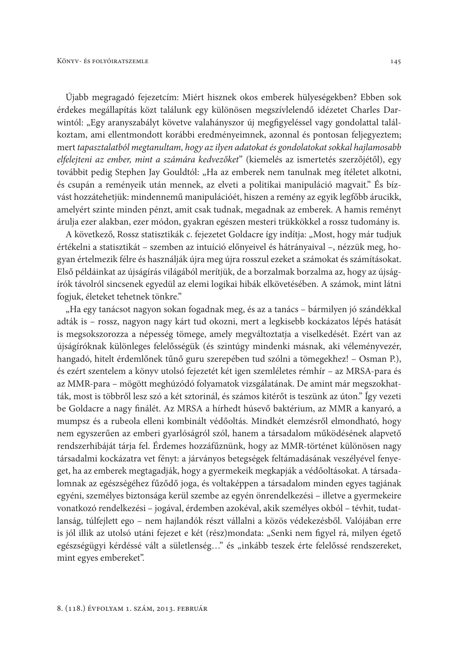Újabb megragadó fejezetcím: Miért hisznek okos emberek hülyeségekben? Ebben sok érdekes megállapítás közt találunk egy különösen megszívlelendő idézetet Charles Darwintól: "Egy aranyszabályt követve valahányszor új megfigyeléssel vagy gondolattal találkoztam, ami ellentmondott korábbi eredményeimnek, azonnal és pontosan feljegyeztem; mert tapasztalatból megtanultam, hogy az ilyen adatokat és gondolatokat sokkal hajlamosabb elfelejteni az ember, mint a számára kedvezőket" (kiemelés az ismertetés szerzőjétől), egy továbbit pedig Stephen Jay Gouldtól: "Ha az emberek nem tanulnak meg ítéletet alkotni, és csupán a reményeik után mennek, az elveti a politikai manipuláció magvait." És bízvást hozzátehetjük: mindennemű manipulációét, hiszen a remény az egyik legfőbb árucikk, amelyért szinte minden pénzt, amit csak tudnak, megadnak az emberek. A hamis reményt árulja ezer alakban, ezer módon, gyakran egészen mesteri trükkökkel a rossz tudomány is.

A következő, Rossz statisztikák c. fejezetet Goldacre így indítja: "Most, hogy már tudjuk értékelni a statisztikát – szemben az intuíció előnyeivel és hátrányaival –, nézzük meg, hogyan értelmezik félre és használják újra meg újra rosszul ezeket a számokat és számításokat. Első példáinkat az újságírás világából merítjük, de a borzalmak borzalma az, hogy az újságírók távolról sincsenek egyedül az elemi logikai hibák elkövetésében. A számok, mint látni fogjuk, életeket tehetnek tönkre."

"Ha egy tanácsot nagyon sokan fogadnak meg, és az a tanács – bármilyen jó szándékkal adták is - rossz, nagyon nagy kárt tud okozni, mert a legkisebb kockázatos lépés hatását is megsokszorozza a népesség tömege, amely megváltoztatja a viselkedését. Ezért van az újságíróknak különleges felelősségük (és szintúgy mindenki másnak, aki véleményvezér, hangadó, hitelt érdemlőnek tűnő guru szerepében tud szólni a tömegekhez! – Osman P.), és ezért szentelem a könyv utolsó fejezetét két igen szemléletes rémhír – az MRSA-para és az MMR-para – mögött meghúzódó folyamatok vizsgálatának. De amint már megszokhatták, most is többről lesz szó a két sztorinál, és számos kitérőt is teszünk az úton." Így vezeti be Goldacre a nagy finálét. Az MRSA a hírhedt húsevő baktérium, az MMR a kanyaró, a mumpsz és a rubeola elleni kombinált védőoltás. Mindkét elemzésről elmondható, hogy nem egyszerűen az emberi gyarlóságról szól, hanem a társadalom működésének alapvető rendszerhibáját tárja fel. Érdemes hozzáfűznünk, hogy az MMR-történet különösen nagy társadalmi kockázatra vet fényt: a járványos betegségek feltámadásának veszélyével fenyeget, ha az emberek megtagadják, hogy a gyermekeik megkapják a védőoltásokat. A társadalomnak az egészségéhez fűződő joga, és voltaképpen a társadalom minden egyes tagjának egyéni, személyes biztonsága kerül szembe az egyén önrendelkezési – illetve a gyermekeire vonatkozó rendelkezési - jogával, érdemben azokéval, akik személyes okból - tévhit, tudatlanság, túlfejlett ego - nem hajlandók részt vállalni a közös védekezésből. Valójában erre is jól illik az utolsó utáni fejezet e két (rész)mondata: "Senki nem figyel rá, milyen égető egészségügyi kérdéssé vált a sületlenség..." és "inkább teszek érte felelőssé rendszereket, mint egyes embereket".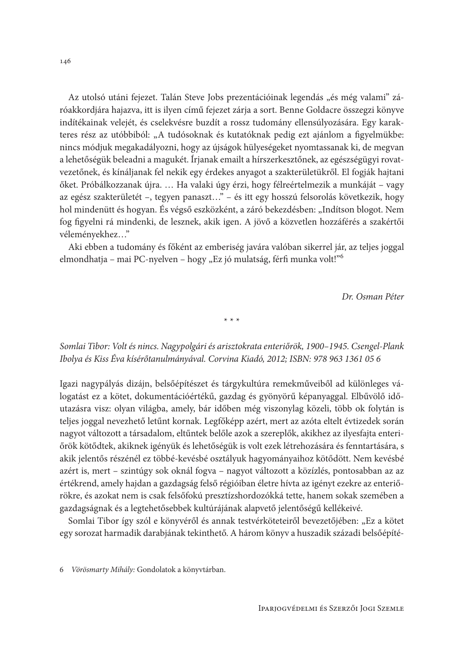Az utolsó utáni fejezet. Talán Steve Jobs prezentációinak legendás "és még valami" záróakkordjára hajazva, itt is ilyen című fejezet zárja a sort. Benne Goldacre összegzi könyve indítékainak velejét, és cselekvésre buzdít a rossz tudomány ellensúlyozására. Egy karakteres rész az utóbbiból: "A tudósoknak és kutatóknak pedig ezt ajánlom a figyelmükbe: nincs módjuk megakadályozni, hogy az újságok hülyeségeket nyomtassanak ki, de megvan a lehetőségük beleadni a magukét. Írjanak emailt a hírszerkesztőnek, az egészségügyi rovatvezetőnek, és kínáljanak fel nekik egy érdekes anyagot a szakterületükről. El fogják hajtani őket. Próbálkozzanak újra. ... Ha valaki úgy érzi, hogy félreértelmezik a munkáját – vagy az egész szakterületét -, tegyen panaszt..." - és itt egy hosszú felsorolás következik, hogy hol mindenütt és hogyan. És végső eszközként, a záró bekezdésben: "Indítson blogot. Nem fog figyelni rá mindenki, de lesznek, akik igen. A jövő a közvetlen hozzáférés a szakértői véleményekhez..."

Aki ebben a tudomány és főként az emberiség javára valóban sikerrel jár, az teljes joggal elmondhatja – mai PC-nyelven – hogy "Ez jó mulatság, férfi munka volt!"<sup>6</sup>

Dr Osman Péter

 $* * *$ 

Somlai Tibor: Volt és nincs. Nagypolgári és arisztokrata enteriőrök, 1900–1945. Csengel-Plank Ibolya és Kiss Éva kísérőtanulmányával. Corvina Kiadó, 2012; ISBN: 978 963 1361 05 6

Igazi nagypályás dizájn, belsőépítészet és tárgykultúra remekműveiből ad különleges válogatást ez a kötet, dokumentációértékű, gazdag és gyönyörű képanyaggal. Elbűvölő időutazásra visz: olyan világba, amely, bár időben még viszonylag közeli, több ok folytán is teljes joggal nevezhető letűnt kornak. Legfőképp azért, mert az azóta eltelt évtizedek során nagyot változott a társadalom, eltűntek belőle azok a szereplők, akikhez az ilyesfajta enteriőrök kötődtek, akiknek igényük és lehetőségük is volt ezek létrehozására és fenntartására, s akik jelentős részénél ez többé-kevésbé osztályuk hagyományaihoz kötődött. Nem kevésbé azért is, mert – szintúgy sok oknál fogya – nagyot változott a közízlés, pontosabban az az értékrend, amely hajdan a gazdagság felső régióiban életre hívta az igényt ezekre az enteriőrökre, és azokat nem is csak felsőfokú presztízshordozókká tette, hanem sokak szemében a gazdagságnak és a legtehetősebbek kultúrájának alapvető jelentőségű kellékeivé.

Somlai Tibor így szól e könyvéről és annak testvérköteteiről bevezetőjében: "Ez a kötet egy sorozat harmadik darabjának tekinthető. A három könyv a huszadik századi belsőépíté-

<sup>6</sup> Vörösmarty Mihály: Gondolatok a könyvtárban.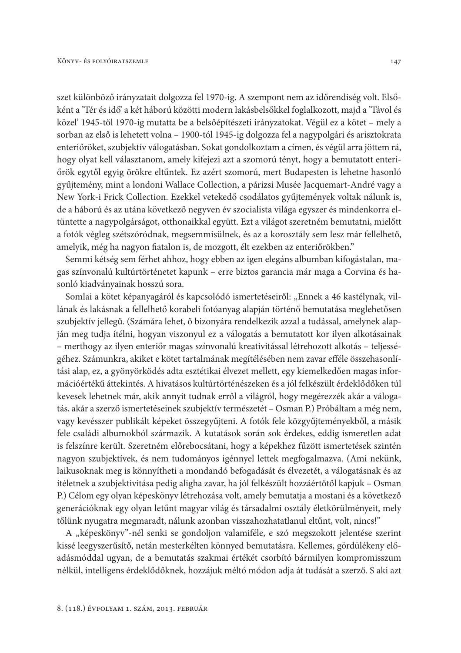szet különböző irányzatait dolgozza fel 1970-ig. A szempont nem az időrendiség volt. Elsőként a 'Tér és idő' a két háború közötti modern lakásbelsőkkel foglalkozott, majd a 'Távol és közel' 1945-től 1970-ig mutatta be a belsőépítészeti irányzatokat. Végül ez a kötet – mely a sorban az első is lehetett volna - 1900-tól 1945-ig dolgozza fel a nagypolgári és arisztokrata enteriőröket, szubjektív válogatásban. Sokat gondolkoztam a címen, és végül arra jöttem rá, hogy olyat kell választanom, amely kifejezi azt a szomorú tényt, hogy a bemutatott enteriőrök egytől egyig örökre eltűntek. Ez azért szomorú, mert Budapesten is lehetne hasonló gyűjtemény, mint a londoni Wallace Collection, a párizsi Musée Jacquemart-André vagy a New York-i Frick Collection. Ezekkel vetekedő csodálatos gyűjtemények voltak nálunk is, de a háború és az utána következő negyven év szocialista világa egyszer és mindenkorra eltüntette a nagypolgárságot, otthonaikkal együtt. Ezt a világot szeretném bemutatni, mielőtt a fotók végleg szétszóródnak, megsemmisülnek, és az a korosztály sem lesz már fellelhető, amelyik, még ha nagyon fiatalon is, de mozgott, élt ezekben az enteriőrökben."

Semmi kétség sem férhet ahhoz, hogy ebben az igen elegáns albumban kifogástalan, magas színvonalú kultúrtörténetet kapunk – erre biztos garancia már maga a Corvina és hasonló kiadványainak hosszú sora.

Somlai a kötet képanyagáról és kapcsolódó ismertetéseiről: "Ennek a 46 kastélynak, villának és lakásnak a fellelhető korabeli fotóanyag alapján történő bemutatása meglehetősen szubjektív jellegű. (Számára lehet, ő bizonyára rendelkezik azzal a tudással, amelynek alapján meg tudja ítélni, hogyan viszonyul ez a válogatás a bemutatott kor ilyen alkotásainak - merthogy az ilyen enteriőr magas színvonalú kreativitással létrehozott alkotás - teljességéhez. Számunkra, akiket e kötet tartalmának megítélésében nem zavar efféle összehasonlítási alap, ez, a gyönyörködés adta esztétikai élvezet mellett, egy kiemelkedően magas információértékű áttekintés. A hivatásos kultúrtörténészeken és a jól felkészült érdeklődőken túl kevesek lehetnek már, akik annyit tudnak erről a világról, hogy megérezzék akár a válogatás, akár a szerző ismertetéseinek szubjektív természetét – Osman P.) Próbáltam a még nem, vagy kevésszer publikált képeket összegyűjteni. A fotók fele közgyűjteményekből, a másik fele családi albumokból származik. A kutatások során sok érdekes, eddig ismeretlen adat is felszínre került. Szeretném előrebocsátani, hogy a képekhez fűzött ismertetések szintén nagyon szubjektívek, és nem tudományos igénnyel lettek megfogalmazva. (Ami nekünk, laikusoknak meg is könnyítheti a mondandó befogadását és élvezetét, a válogatásnak és az ítéletnek a szubjektivitása pedig aligha zavar, ha jól felkészült hozzáértőtől kapjuk – Osman P.) Célom egy olyan képeskönyv létrehozása volt, amely bemutatja a mostani és a következő generációknak egy olyan letűnt magyar világ és társadalmi osztály életkörülményeit, mely tőlünk nyugatra megmaradt, nálunk azonban visszahozhatatlanul eltűnt, volt, nincs!"

A "képeskönyv"-nél senki se gondoljon valamiféle, e szó megszokott jelentése szerint kissé leegyszerűsítő, netán mesterkélten könnyed bemutatásra. Kellemes, gördülékeny előadásmóddal ugyan, de a bemutatás szakmai értékét csorbító bármilyen kompromisszum nélkül, intelligens érdeklődőknek, hozzájuk méltó módon adja át tudását a szerző. S aki azt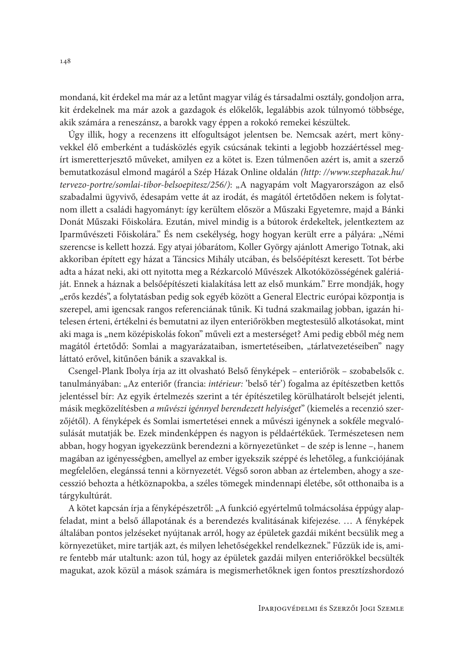mondaná, kit érdekel ma már az a letűnt magyar világ és társadalmi osztály, gondoljon arra, kit érdekelnek ma már azok a gazdagok és előkelők, legalábbis azok túlnyomó többsége, akik számára a reneszánsz, a barokk vagy éppen a rokokó remekei készültek.

Úgy illik, hogy a recenzens itt elfogultságot jelentsen be. Nemcsak azért, mert könyvekkel élő emberként a tudásközlés egyik csúcsának tekinti a legjobb hozzáértéssel megírt ismeretterjesztő műveket, amilyen ez a kötet is. Ezen túlmenően azért is, amit a szerző bemutatkozásul elmond magáról a Szép Házak Online oldalán (http://www.szephazak.hu/ tervezo-portre/somlai-tibor-belsoepitesz/256/): "A nagyapám volt Magyarországon az első szabadalmi ügyvivő, édesapám vette át az irodát, és magától értetődően nekem is folytatnom illett a családi hagyományt: így kerültem először a Műszaki Egyetemre, majd a Bánki Donát Műszaki Főiskolára. Ezután, mivel mindig is a bútorok érdekeltek, jelentkeztem az Iparművészeti Főiskolára." És nem csekélység, hogy hogyan került erre a pályára: "Némi szerencse is kellett hozzá. Egy atyai jóbarátom, Koller György ajánlott Amerigo Totnak, aki akkoriban épített egy házat a Táncsics Mihály utcában, és belsőépítészt keresett. Tot bérbe adta a házat neki, aki ott nyitotta meg a Rézkarcoló Művészek Alkotóközösségének galériáját. Ennek a háznak a belsőépítészeti kialakítása lett az első munkám." Erre mondják, hogy "erős kezdés", a folytatásban pedig sok egyéb között a General Electric európai központja is szerepel, ami igencsak rangos referenciának tűnik. Ki tudná szakmailag jobban, igazán hitelesen érteni, értékelni és bemutatni az ilyen enteriőrökben megtestesülő alkotásokat, mint aki maga is "nem középiskolás fokon" műveli ezt a mesterséget? Ami pedig ebből még nem magától értetődő: Somlai a magyarázataiban, ismertetéseiben, "tárlatvezetéseiben" nagy láttató erővel, kitűnően bánik a szavakkal is.

Csengel-Plank Ibolya írja az itt olvasható Belső fényképek – enteriőrök – szobabelsők c. tanulmányában: "Az enteriőr (francia: intérieur: 'belső tér') fogalma az építészetben kettős jelentéssel bír: Az egyik értelmezés szerint a tér építészetileg körülhatárolt belsejét jelenti, másik megközelítésben a művészi igénnyel berendezett helyiséget" (kiemelés a recenzió szerzőjétől). A fényképek és Somlai ismertetései ennek a művészi igénynek a sokféle megyalósulását mutatják be. Ezek mindenképpen és nagyon is példaértékűek. Természetesen nem abban, hogy hogyan igyekezzünk berendezni a környezetünket - de szép is lenne -, hanem magában az igényességben, amellyel az ember igyekszik széppé és lehetőleg, a funkciójának megfelelően, elegánssá tenni a környezetét. Végső soron abban az értelemben, ahogy a szecesszió behozta a hétköznapokba, a széles tömegek mindennapi életébe, sőt otthonaiba is a tárgykultúrát.

A kötet kapcsán írja a fényképészetről: "A funkció egyértelmű tolmácsolása éppúgy alapfeladat, mint a belső állapotának és a berendezés kvalitásának kifejezése. ... A fényképek általában pontos jelzéseket nyújtanak arról, hogy az épületek gazdái miként becsülik meg a környezetüket, mire tartják azt, és milyen lehetőségekkel rendelkeznek." Fűzzük ide is, amire fentebb már utaltunk: azon túl, hogy az épületek gazdái milyen enteriőrökkel becsülték magukat, azok közül a mások számára is megismerhetőknek igen fontos presztízshordozó